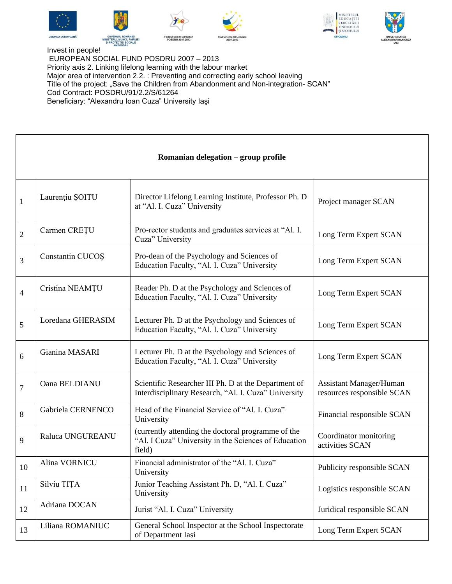











Invest in people! EUROPEAN SOCIAL FUND POSDRU 2007 – 2013 Priority axis 2. Linking lifelong learning with the labour market Major area of intervention 2.2. : Preventing and correcting early school leaving Title of the project: "Save the Children from Abandonment and Non-integration-SCAN" Cod Contract: POSDRU/91/2.2/S/61264 Beneficiary: "Alexandru Ioan Cuza" University Iaşi

## **Romanian delegation – group profile**

| 1              | Laurențiu ȘOITU   | Director Lifelong Learning Institute, Professor Ph. D<br>at "Al. I. Cuza" University                                 | Project manager SCAN                                         |
|----------------|-------------------|----------------------------------------------------------------------------------------------------------------------|--------------------------------------------------------------|
| $\overline{2}$ | Carmen CREȚU      | Pro-rector students and graduates services at "Al. I.<br>Cuza" University                                            | Long Term Expert SCAN                                        |
| 3              | Constantin CUCOS  | Pro-dean of the Psychology and Sciences of<br>Education Faculty, "Al. I. Cuza" University                            | Long Term Expert SCAN                                        |
| $\overline{4}$ | Cristina NEAMȚU   | Reader Ph. D at the Psychology and Sciences of<br>Education Faculty, "Al. I. Cuza" University                        | Long Term Expert SCAN                                        |
| 5              | Loredana GHERASIM | Lecturer Ph. D at the Psychology and Sciences of<br>Education Faculty, "Al. I. Cuza" University                      | Long Term Expert SCAN                                        |
| 6              | Gianina MASARI    | Lecturer Ph. D at the Psychology and Sciences of<br>Education Faculty, "Al. I. Cuza" University                      | Long Term Expert SCAN                                        |
| 7              | Oana BELDIANU     | Scientific Researcher III Ph. D at the Department of<br>Interdisciplinary Research, "Al. I. Cuza" University         | <b>Assistant Manager/Human</b><br>resources responsible SCAN |
| 8              | Gabriela CERNENCO | Head of the Financial Service of "Al. I. Cuza"<br>University                                                         | Financial responsible SCAN                                   |
| 9              | Raluca UNGUREANU  | (currently attending the doctoral programme of the<br>"Al. I Cuza" University in the Sciences of Education<br>field) | Coordinator monitoring<br>activities SCAN                    |
| 10             | Alina VORNICU     | Financial administrator of the "Al. I. Cuza"<br>University                                                           | Publicity responsible SCAN                                   |
| 11             | Silviu TITA       | Junior Teaching Assistant Ph. D, "Al. I. Cuza"<br>University                                                         | Logistics responsible SCAN                                   |
| 12             | Adriana DOCAN     | Jurist "Al. I. Cuza" University                                                                                      | Juridical responsible SCAN                                   |
| 13             | Liliana ROMANIUC  | General School Inspector at the School Inspectorate<br>of Department Iasi                                            | Long Term Expert SCAN                                        |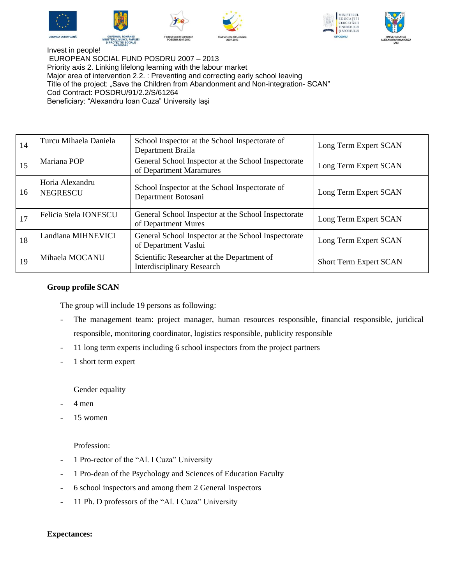











Invest in people! EUROPEAN SOCIAL FUND POSDRU 2007 – 2013 Priority axis 2. Linking lifelong learning with the labour market Major area of intervention 2.2. : Preventing and correcting early school leaving Title of the project: "Save the Children from Abandonment and Non-integration- SCAN" Cod Contract: POSDRU/91/2.2/S/61264 Beneficiary: "Alexandru Ioan Cuza" University Iaşi

| 14 | Turcu Mihaela Daniela              | School Inspector at the School Inspectorate of<br>Department Braila             | Long Term Expert SCAN  |
|----|------------------------------------|---------------------------------------------------------------------------------|------------------------|
| 15 | Mariana POP                        | General School Inspector at the School Inspectorate<br>of Department Maramures  | Long Term Expert SCAN  |
| 16 | Horia Alexandru<br><b>NEGRESCU</b> | School Inspector at the School Inspectorate of<br>Department Botosani           | Long Term Expert SCAN  |
| 17 | Felicia Stela IONESCU              | General School Inspector at the School Inspectorate<br>of Department Mures      | Long Term Expert SCAN  |
| 18 | Landiana MIHNEVICI                 | General School Inspector at the School Inspectorate<br>of Department Vaslui     | Long Term Expert SCAN  |
| 19 | Mihaela MOCANU                     | Scientific Researcher at the Department of<br><b>Interdisciplinary Research</b> | Short Term Expert SCAN |

## **Group profile SCAN**

The group will include 19 persons as following:

- The management team: project manager, human resources responsible, financial responsible, juridical responsible, monitoring coordinator, logistics responsible, publicity responsible
- 11 long term experts including 6 school inspectors from the project partners
- 1 short term expert

Gender equality

- 4 men
- 15 women

Profession:

- 1 Pro-rector of the "Al. I Cuza" University
- 1 Pro-dean of the Psychology and Sciences of Education Faculty
- 6 school inspectors and among them 2 General Inspectors
- 11 Ph. D professors of the "Al. I Cuza" University

## **Expectances:**